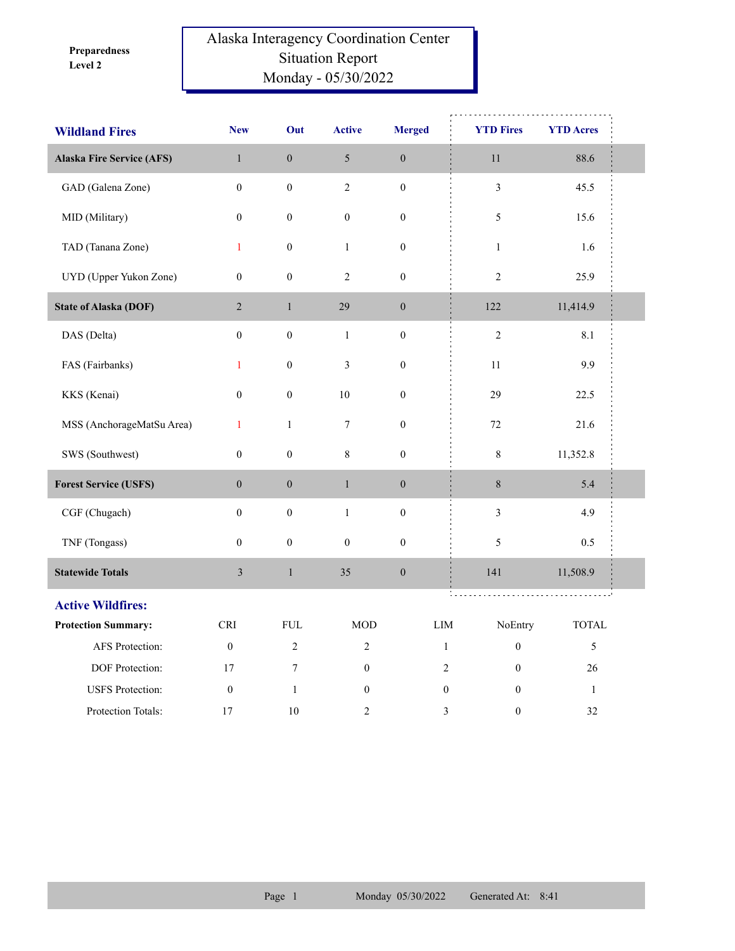**Level 2 Preparedness** 

## Alaska Interagency Coordination Center Situation Report Monday - 05/30/2022

| <b>Wildland Fires</b>            | <b>New</b>              | Out              | <b>Active</b>    | <b>Merged</b>    | <b>YTD Fires</b>                   | <b>YTD Acres</b>            |  |
|----------------------------------|-------------------------|------------------|------------------|------------------|------------------------------------|-----------------------------|--|
| <b>Alaska Fire Service (AFS)</b> | $\,1$                   | $\boldsymbol{0}$ | $\sqrt{5}$       | $\boldsymbol{0}$ | $11\,$                             | 88.6                        |  |
| GAD (Galena Zone)                | $\boldsymbol{0}$        | $\boldsymbol{0}$ | $\overline{2}$   | $\boldsymbol{0}$ | $\mathfrak{Z}$                     | 45.5                        |  |
| MID (Military)                   | $\boldsymbol{0}$        | $\boldsymbol{0}$ | $\boldsymbol{0}$ | $\boldsymbol{0}$ | 5                                  | 15.6                        |  |
| TAD (Tanana Zone)                | $\mathbf{1}$            | $\boldsymbol{0}$ | $\mathbf{1}$     | $\boldsymbol{0}$ | $\,1\,$                            | 1.6                         |  |
| UYD (Upper Yukon Zone)           | $\boldsymbol{0}$        | $\boldsymbol{0}$ | $\mathfrak{2}$   | $\boldsymbol{0}$ | $\mathfrak{2}$                     | 25.9                        |  |
| <b>State of Alaska (DOF)</b>     | $\overline{2}$          | $\mathbf{1}$     | 29               | $\boldsymbol{0}$ | 122                                | 11,414.9                    |  |
| DAS (Delta)                      | $\boldsymbol{0}$        | $\boldsymbol{0}$ | $\,1$            | $\boldsymbol{0}$ | $\sqrt{2}$                         | 8.1                         |  |
| FAS (Fairbanks)                  | $\mathbf{1}$            | $\boldsymbol{0}$ | $\mathfrak{Z}$   | $\boldsymbol{0}$ | 11                                 | 9.9                         |  |
| KKS (Kenai)                      | $\boldsymbol{0}$        | $\boldsymbol{0}$ | 10               | $\boldsymbol{0}$ | 29                                 | 22.5                        |  |
| MSS (AnchorageMatSu Area)        | $\mathbf{1}$            | $\mathbf{1}$     | $\tau$           | $\boldsymbol{0}$ | 72                                 | 21.6                        |  |
| SWS (Southwest)                  | $\boldsymbol{0}$        | $\boldsymbol{0}$ | $8\,$            | $\boldsymbol{0}$ | $\,$ $\,$                          | 11,352.8                    |  |
| <b>Forest Service (USFS)</b>     | $\boldsymbol{0}$        | $\boldsymbol{0}$ | $\,1$            | $\boldsymbol{0}$ | $8\,$                              | 5.4                         |  |
| CGF (Chugach)                    | $\overline{0}$          | $\boldsymbol{0}$ | $\mathbf{1}$     | $\boldsymbol{0}$ | $\mathfrak{Z}$                     | 4.9                         |  |
| TNF (Tongass)                    | $\boldsymbol{0}$        | $\boldsymbol{0}$ | $\boldsymbol{0}$ | $\boldsymbol{0}$ | 5                                  | 0.5                         |  |
| <b>Statewide Totals</b>          | $\overline{\mathbf{3}}$ | $\,1$            | 35               | $\boldsymbol{0}$ | 141                                | 11,508.9                    |  |
| <b>Active Wildfires:</b>         |                         |                  |                  |                  | t.                                 |                             |  |
| <b>Protection Summary:</b>       | <b>CRI</b>              | <b>FUL</b>       | <b>MOD</b>       | LIM              | NoEntry                            | $\ensuremath{\text{TOTAL}}$ |  |
| AFS Protection:                  | $\boldsymbol{0}$        | $\overline{2}$   | $\overline{2}$   |                  | $\boldsymbol{0}$<br>$\mathbf{1}$   | 5                           |  |
| DOF Protection:                  | 17                      | 7                | $\boldsymbol{0}$ |                  | $\sqrt{2}$<br>$\boldsymbol{0}$     | 26                          |  |
| <b>USFS</b> Protection:          | $\boldsymbol{0}$        | $\mathbf{1}$     | $\boldsymbol{0}$ |                  | $\boldsymbol{0}$<br>$\overline{0}$ | $\mathbf{1}$                |  |
| Protection Totals:               | 17                      | $10\,$           | $\overline{2}$   |                  | 3<br>$\boldsymbol{0}$              | 32                          |  |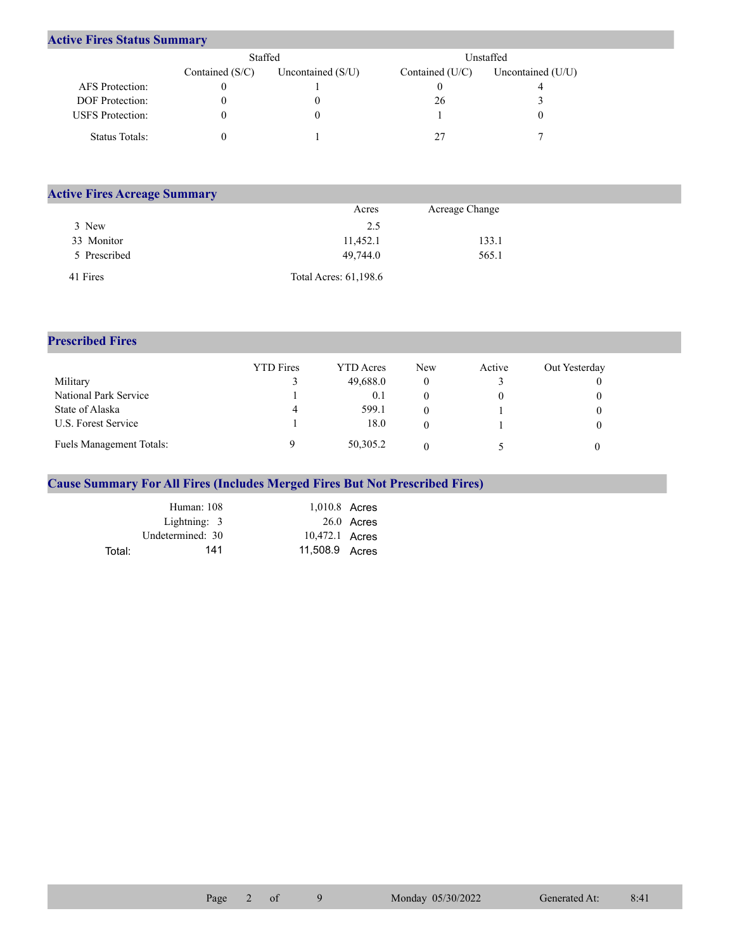## **Active Fires Status Summary**

|                         | Staffed           |                     |                   | Unstaffed         |  |
|-------------------------|-------------------|---------------------|-------------------|-------------------|--|
|                         | Contained $(S/C)$ | Uncontained $(S/U)$ | Contained $(U/C)$ | Uncontained (U/U) |  |
| AFS Protection:         |                   |                     |                   |                   |  |
| DOF Protection:         |                   |                     | 26                |                   |  |
| <b>USFS</b> Protection: |                   |                     |                   |                   |  |
| Status Totals:          |                   |                     |                   |                   |  |

| <b>Active Fires Acreage Summary</b> |                       |                |  |
|-------------------------------------|-----------------------|----------------|--|
|                                     | Acres                 | Acreage Change |  |
| 3 New                               | 2.5                   |                |  |
| 33 Monitor                          | 11,452.1              | 133.1          |  |
| 5 Prescribed                        | 49,744.0              | 565.1          |  |
| 41 Fires                            | Total Acres: 61,198.6 |                |  |

## **Prescribed Fires**

|                                 | <b>YTD</b> Fires | YTD Acres | New | Active | Out Yesterday |
|---------------------------------|------------------|-----------|-----|--------|---------------|
| Military                        |                  | 49,688.0  |     |        |               |
| National Park Service           |                  | 0.1       |     |        |               |
| State of Alaska                 | 4                | 599.1     |     |        |               |
| U.S. Forest Service             |                  | 18.0      |     |        |               |
| <b>Fuels Management Totals:</b> |                  | 50,305.2  |     |        |               |

## **Cause Summary For All Fires (Includes Merged Fires But Not Prescribed Fires)**

|        | Human: 108       | 1,010.8 Acres  |              |
|--------|------------------|----------------|--------------|
|        | Lightning: $3$   |                | $26.0$ Acres |
|        | Undetermined: 30 | 10,472.1 Acres |              |
| Total: | 141              | 11,508.9 Acres |              |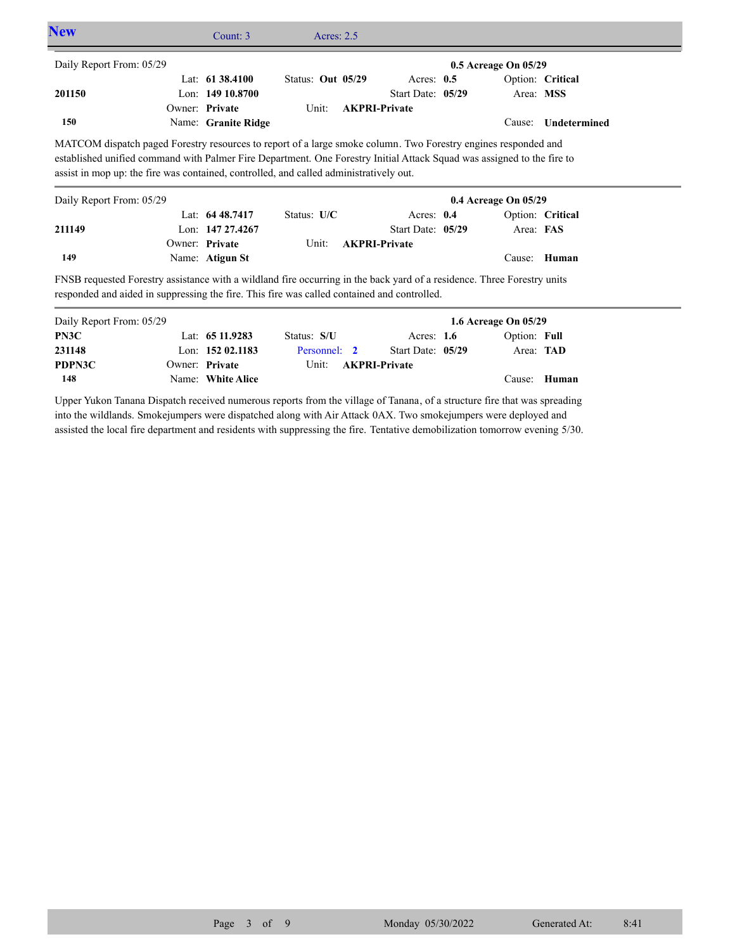| <b>New</b>                                                                                                                                                                                                             | Count: 3            | Acres: $2.5$      |                      |                      |                  |  |
|------------------------------------------------------------------------------------------------------------------------------------------------------------------------------------------------------------------------|---------------------|-------------------|----------------------|----------------------|------------------|--|
| Daily Report From: 05/29                                                                                                                                                                                               |                     |                   |                      | 0.5 Acreage On 05/29 |                  |  |
|                                                                                                                                                                                                                        | Lat: $61\,38.4100$  | Status: Out 05/29 | Acres: $0.5$         |                      | Option: Critical |  |
| 201150                                                                                                                                                                                                                 | Lon: $14910.8700$   |                   | Start Date: $05/29$  |                      | Area: MSS        |  |
|                                                                                                                                                                                                                        | Owner: Private      | Unit:             | <b>AKPRI-Private</b> |                      |                  |  |
| 150                                                                                                                                                                                                                    | Name: Granite Ridge |                   |                      | Cause:               | Undetermined     |  |
| Daily Report From: 05/29                                                                                                                                                                                               |                     |                   |                      | 0.4 Acreage On 05/29 |                  |  |
|                                                                                                                                                                                                                        | Lat: $6448.7417$    | Status: $U/C$     | Acres: $0.4$         |                      | Option: Critical |  |
| 211149                                                                                                                                                                                                                 | Lon: 147 27.4267    |                   | Start Date: 05/29    | Area: FAS            |                  |  |
|                                                                                                                                                                                                                        | Owner: Private      | Unit:             | <b>AKPRI-Private</b> |                      |                  |  |
| 149                                                                                                                                                                                                                    | Name: Atigun St     |                   |                      |                      | Cause: Human     |  |
| FNSB requested Forestry assistance with a wildland fire occurring in the back yard of a residence. Three Forestry units<br>responded and aided in suppressing the fire. This fire was called contained and controlled. |                     |                   |                      |                      |                  |  |

| Daily Report From: 05/29 |                   |              |                      | 1.6 Acreage On $05/29$ |  |
|--------------------------|-------------------|--------------|----------------------|------------------------|--|
| PN3C                     | Lat: $6511.9283$  | Status: S/U  | Acres: $1.6$         | Option: Full           |  |
| 231148                   | Lon: $15202.1183$ | Personnel: 2 | Start Date: 05/29    | Area: <b>TAD</b>       |  |
| PDPN3C                   | Owner: Private    | Unit:        | <b>AKPRI-Private</b> |                        |  |
| 148                      | Name: White Alice |              |                      | Cause: Human           |  |

Upper Yukon Tanana Dispatch received numerous reports from the village of Tanana, of a structure fire that was spreading into the wildlands. Smokejumpers were dispatched along with Air Attack 0AX. Two smokejumpers were deployed and assisted the local fire department and residents with suppressing the fire. Tentative demobilization tomorrow evening 5/30.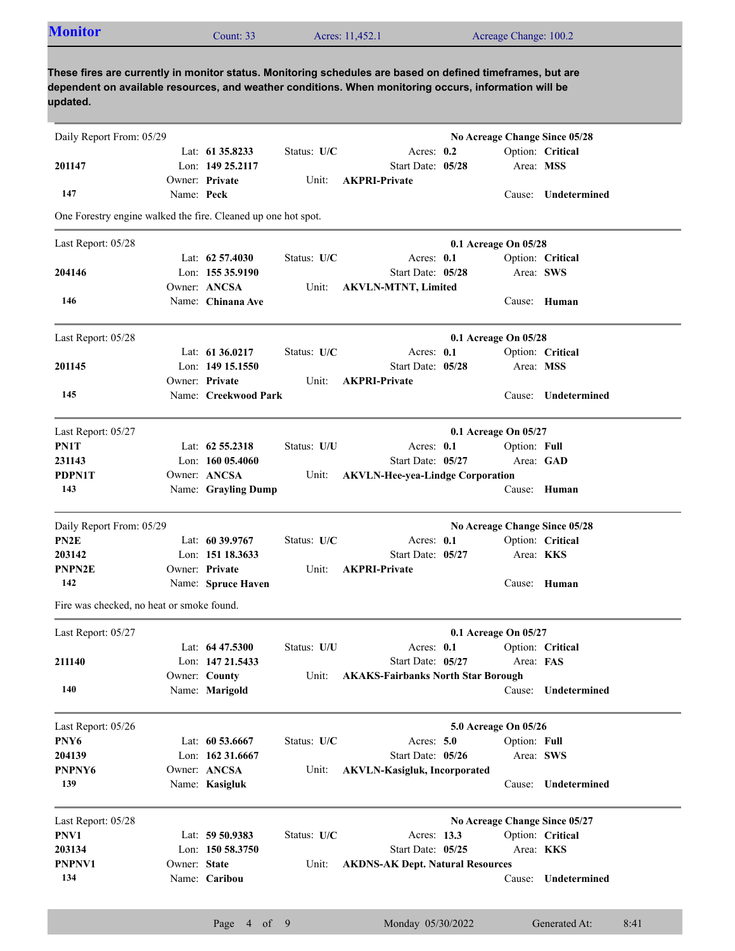| <b>Monitor</b>                                                                                                                                                                                                                  |              | Count: 33            |             | Acres: 11,452.1                           |                                 | Acreage Change: 100.2         |                     |
|---------------------------------------------------------------------------------------------------------------------------------------------------------------------------------------------------------------------------------|--------------|----------------------|-------------|-------------------------------------------|---------------------------------|-------------------------------|---------------------|
| These fires are currently in monitor status. Monitoring schedules are based on defined timeframes, but are<br>dependent on available resources, and weather conditions. When monitoring occurs, information will be<br>updated. |              |                      |             |                                           |                                 |                               |                     |
| Daily Report From: 05/29                                                                                                                                                                                                        |              |                      |             |                                           |                                 | No Acreage Change Since 05/28 |                     |
|                                                                                                                                                                                                                                 |              | Lat: 61 35.8233      | Status: U/C |                                           | Acres: $0.2$                    |                               | Option: Critical    |
| 201147                                                                                                                                                                                                                          |              | Lon: 149 25.2117     |             |                                           | Start Date: 05/28               | Area: MSS                     |                     |
|                                                                                                                                                                                                                                 |              | Owner: Private       | Unit:       | <b>AKPRI-Private</b>                      |                                 |                               |                     |
| 147                                                                                                                                                                                                                             | Name: Peck   |                      |             |                                           |                                 |                               | Cause: Undetermined |
| One Forestry engine walked the fire. Cleaned up one hot spot.                                                                                                                                                                   |              |                      |             |                                           |                                 |                               |                     |
| Last Report: 05/28                                                                                                                                                                                                              |              |                      |             |                                           |                                 | 0.1 Acreage On 05/28          |                     |
|                                                                                                                                                                                                                                 |              | Lat: $62\,57.4030$   | Status: U/C |                                           | Acres: 0.1                      |                               | Option: Critical    |
| 204146                                                                                                                                                                                                                          |              | Lon: 155 35.9190     |             |                                           | Start Date: 05/28               | Area: SWS                     |                     |
|                                                                                                                                                                                                                                 |              | Owner: ANCSA         | Unit:       | <b>AKVLN-MTNT, Limited</b>                |                                 |                               |                     |
| 146                                                                                                                                                                                                                             |              | Name: Chinana Ave    |             |                                           |                                 |                               | Cause: Human        |
| Last Report: 05/28                                                                                                                                                                                                              |              |                      |             |                                           |                                 | 0.1 Acreage On 05/28          |                     |
|                                                                                                                                                                                                                                 |              | Lat: 61 36.0217      | Status: U/C |                                           | Acres: 0.1                      |                               | Option: Critical    |
| 201145                                                                                                                                                                                                                          |              | Lon: 149 15.1550     |             |                                           | Start Date: 05/28               | Area: MSS                     |                     |
|                                                                                                                                                                                                                                 |              | Owner: Private       | Unit:       | <b>AKPRI-Private</b>                      |                                 |                               |                     |
| 145                                                                                                                                                                                                                             |              | Name: Creekwood Park |             |                                           |                                 |                               | Cause: Undetermined |
|                                                                                                                                                                                                                                 |              |                      |             |                                           |                                 |                               |                     |
| Last Report: 05/27<br>PN1T                                                                                                                                                                                                      |              | Lat: $62\,55.2318$   |             |                                           |                                 | 0.1 Acreage On 05/27          |                     |
| 231143                                                                                                                                                                                                                          |              | Lon: 160 05.4060     | Status: U/U |                                           | Acres: 0.1<br>Start Date: 05/27 | Option: Full<br>Area: GAD     |                     |
| PDPN1T                                                                                                                                                                                                                          |              | Owner: ANCSA         | Unit:       | <b>AKVLN-Hee-yea-Lindge Corporation</b>   |                                 |                               |                     |
| 143                                                                                                                                                                                                                             |              | Name: Grayling Dump  |             |                                           |                                 |                               | Cause: Human        |
|                                                                                                                                                                                                                                 |              |                      |             |                                           |                                 |                               |                     |
| Daily Report From: 05/29                                                                                                                                                                                                        |              |                      |             |                                           |                                 | No Acreage Change Since 05/28 |                     |
| PN <sub>2</sub> E                                                                                                                                                                                                               |              | Lat: $60\,39.9767$   | Status: U/C |                                           | Acres: 0.1                      |                               | Option: Critical    |
| 203142                                                                                                                                                                                                                          |              | Lon: 151 18.3633     |             |                                           | Start Date: 05/27               | Area: KKS                     |                     |
| <b>PNPN2E</b>                                                                                                                                                                                                                   |              | Owner: Private       | Unit:       | <b>AKPRI-Private</b>                      |                                 |                               |                     |
| 142                                                                                                                                                                                                                             |              | Name: Spruce Haven   |             |                                           |                                 |                               | Cause: Human        |
| Fire was checked, no heat or smoke found.                                                                                                                                                                                       |              |                      |             |                                           |                                 |                               |                     |
| Last Report: 05/27                                                                                                                                                                                                              |              |                      |             |                                           |                                 | 0.1 Acreage On 05/27          |                     |
|                                                                                                                                                                                                                                 |              | Lat: $64\,47.5300$   | Status: U/U |                                           | Acres: 0.1                      |                               | Option: Critical    |
| 211140                                                                                                                                                                                                                          |              | Lon: 147 21.5433     |             |                                           | Start Date: 05/27               | Area: FAS                     |                     |
|                                                                                                                                                                                                                                 |              | Owner: County        | Unit:       | <b>AKAKS-Fairbanks North Star Borough</b> |                                 |                               |                     |
| 140                                                                                                                                                                                                                             |              | Name: Marigold       |             |                                           |                                 |                               | Cause: Undetermined |
| Last Report: 05/26                                                                                                                                                                                                              |              |                      |             |                                           |                                 | 5.0 Acreage On 05/26          |                     |
| PNY6                                                                                                                                                                                                                            |              | Lat: $60\,53.6667$   | Status: U/C |                                           | Acres: 5.0                      | Option: Full                  |                     |
| 204139                                                                                                                                                                                                                          |              | Lon: 162 31.6667     |             |                                           | Start Date: 05/26               | Area: SWS                     |                     |
| PNPNY6                                                                                                                                                                                                                          |              | Owner: ANCSA         | Unit:       | <b>AKVLN-Kasigluk, Incorporated</b>       |                                 |                               |                     |
| 139                                                                                                                                                                                                                             |              | Name: Kasigluk       |             |                                           |                                 |                               | Cause: Undetermined |
| Last Report: 05/28                                                                                                                                                                                                              |              |                      |             |                                           |                                 | No Acreage Change Since 05/27 |                     |
| PNV1                                                                                                                                                                                                                            |              | Lat: 59 50.9383      | Status: U/C |                                           | Acres: 13.3                     |                               | Option: Critical    |
| 203134                                                                                                                                                                                                                          |              | Lon: 150 58.3750     |             |                                           | Start Date: 05/25               | Area: <b>KKS</b>              |                     |
| PNPNV1                                                                                                                                                                                                                          | Owner: State |                      | Unit:       | <b>AKDNS-AK Dept. Natural Resources</b>   |                                 |                               |                     |
| 134                                                                                                                                                                                                                             |              | Name: Caribou        |             |                                           |                                 |                               | Cause: Undetermined |
|                                                                                                                                                                                                                                 |              |                      |             |                                           |                                 |                               |                     |

Page 4 of 9 Monday 05/30/2022 Generated At: 8:41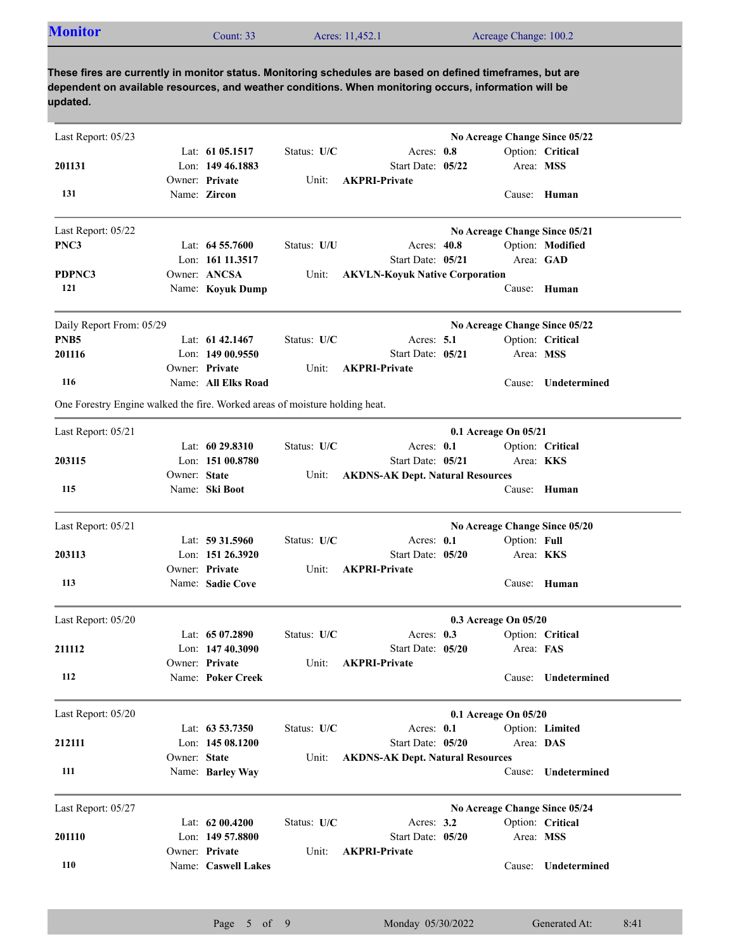| <b>Monitor</b><br>Acres: 11,452.1<br>Acreage Change: 100.2<br>Count: 33 |  |
|-------------------------------------------------------------------------|--|
|-------------------------------------------------------------------------|--|

| Last Report: 05/23                                                          |              |                                        |             |                                           |                      |              | No Acreage Change Since 05/22 |
|-----------------------------------------------------------------------------|--------------|----------------------------------------|-------------|-------------------------------------------|----------------------|--------------|-------------------------------|
|                                                                             |              | Lat: $61\,05.1517$<br>Lon: 149 46.1883 | Status: U/C | Acres: 0.8<br>Start Date: 05/22           |                      | Area: MSS    | Option: Critical              |
| 201131                                                                      |              | Owner: Private                         | Unit:       | <b>AKPRI-Private</b>                      |                      |              |                               |
| 131                                                                         |              | Name: Zircon                           |             |                                           |                      |              | Cause: Human                  |
| Last Report: 05/22                                                          |              |                                        |             |                                           |                      |              | No Acreage Change Since 05/21 |
| PNC3                                                                        |              | Lat: $64\,55.7600$                     | Status: U/U | Acres: 40.8                               |                      |              | Option: Modified              |
|                                                                             |              | Lon: 161 11.3517                       |             | Start Date: 05/21                         |                      |              | Area: GAD                     |
| PDPNC3<br>121                                                               |              | Owner: ANCSA<br>Name: Koyuk Dump       | Unit:       | <b>AKVLN-Koyuk Native Corporation</b>     |                      |              | Cause: Human                  |
|                                                                             |              |                                        |             |                                           |                      |              |                               |
| Daily Report From: 05/29                                                    |              |                                        |             |                                           |                      |              | No Acreage Change Since 05/22 |
| PNB <sub>5</sub>                                                            |              | Lat: 61 42.1467                        | Status: U/C | Acres: $5.1$                              |                      |              | Option: Critical              |
| 201116                                                                      |              | Lon: 149 00.9550<br>Owner: Private     | Unit:       | Start Date: 05/21<br><b>AKPRI-Private</b> |                      | Area: MSS    |                               |
| 116                                                                         |              | Name: All Elks Road                    |             |                                           |                      | Cause:       | Undetermined                  |
| One Forestry Engine walked the fire. Worked areas of moisture holding heat. |              |                                        |             |                                           |                      |              |                               |
| Last Report: 05/21                                                          |              |                                        |             |                                           | 0.1 Acreage On 05/21 |              |                               |
|                                                                             |              | Lat: $6029.8310$                       | Status: U/C | Acres: 0.1                                |                      |              | Option: Critical              |
| 203115                                                                      |              | Lon: 151 00.8780                       |             | Start Date: 05/21                         |                      | Area: KKS    |                               |
|                                                                             | Owner: State |                                        | Unit:       | <b>AKDNS-AK Dept. Natural Resources</b>   |                      |              |                               |
| 115                                                                         |              | Name: Ski Boot                         |             |                                           |                      |              | Cause: Human                  |
| Last Report: 05/21                                                          |              |                                        |             |                                           |                      |              | No Acreage Change Since 05/20 |
|                                                                             |              | Lat: 59 31.5960                        | Status: U/C | Acres: 0.1                                |                      | Option: Full |                               |
| 203113                                                                      |              | Lon: 151 26.3920                       |             | Start Date: 05/20                         |                      |              | Area: <b>KKS</b>              |
|                                                                             |              | Owner: Private                         | Unit:       | <b>AKPRI-Private</b>                      |                      |              |                               |
| 113                                                                         |              | Name: Sadie Cove                       |             |                                           |                      |              | Cause: Human                  |
| Last Report: 05/20                                                          |              |                                        |             |                                           | 0.3 Acreage On 05/20 |              |                               |
|                                                                             |              | Lat: 65 07.2890                        | Status: U/C | Acres: $0.3$                              |                      |              | Option: Critical              |
| 211112                                                                      |              | Lon: 147 40.3090                       |             | Start Date: 05/20                         |                      | Area: FAS    |                               |
|                                                                             |              | Owner: Private                         | Unit:       | <b>AKPRI-Private</b>                      |                      |              |                               |
| 112                                                                         |              | Name: Poker Creek                      |             |                                           |                      |              | Cause: Undetermined           |
| Last Report: 05/20                                                          |              |                                        |             |                                           | 0.1 Acreage On 05/20 |              |                               |
|                                                                             |              | Lat: 63 53.7350                        | Status: U/C | Acres: 0.1                                |                      |              | Option: Limited               |
| 212111                                                                      |              | Lon: 145 08.1200                       |             | Start Date: 05/20                         |                      | Area: DAS    |                               |
|                                                                             | Owner: State |                                        | Unit:       | <b>AKDNS-AK Dept. Natural Resources</b>   |                      |              |                               |
| 111                                                                         |              | Name: Barley Way                       |             |                                           |                      | Cause:       | Undetermined                  |
| Last Report: 05/27                                                          |              |                                        |             |                                           |                      |              | No Acreage Change Since 05/24 |
|                                                                             |              | Lat: 62 00.4200                        | Status: U/C | Acres: 3.2                                |                      |              | Option: Critical              |
| 201110                                                                      |              | Lon: $14957.8800$                      |             | Start Date: 05/20                         |                      | Area: MSS    |                               |
|                                                                             |              | Owner: Private                         | Unit:       | <b>AKPRI-Private</b>                      |                      |              |                               |
| 110                                                                         |              | Name: Caswell Lakes                    |             |                                           |                      | Cause:       | Undetermined                  |
|                                                                             |              |                                        |             |                                           |                      |              |                               |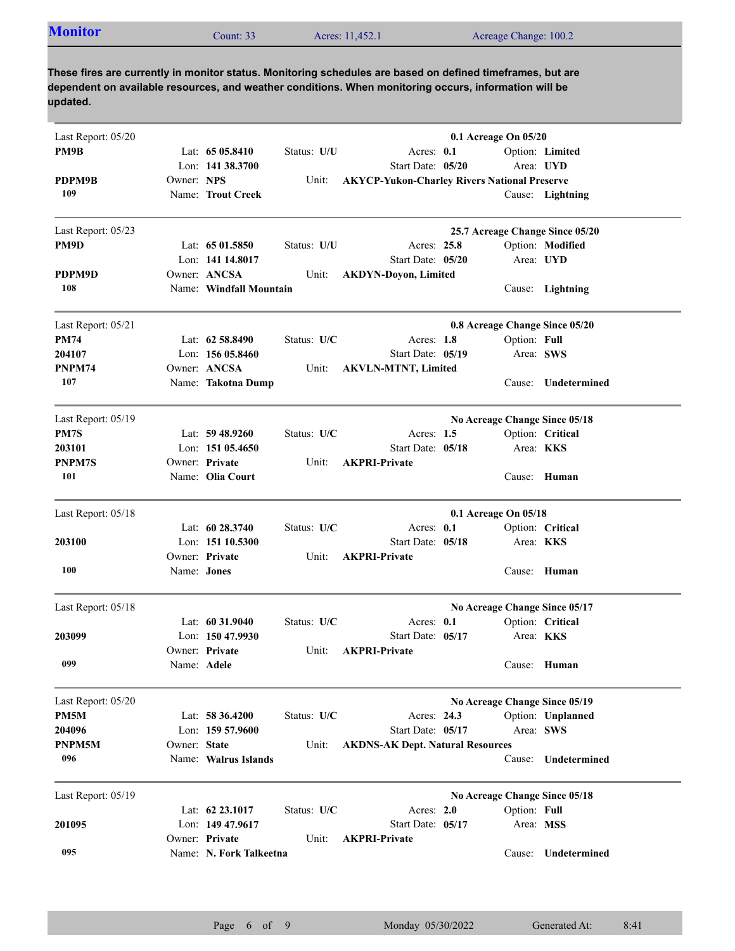|  | <b>Monitor</b> | ount: 33 | Acres: 11,452.1 | Acreage Change: 100.2 |
|--|----------------|----------|-----------------|-----------------------|
|--|----------------|----------|-----------------|-----------------------|

| Last Report: 05/20 |                    |                         |             |                                                     | 0.1 Acreage On 05/20 |                                 |
|--------------------|--------------------|-------------------------|-------------|-----------------------------------------------------|----------------------|---------------------------------|
| PM9B               |                    | Lat: $6505.8410$        | Status: U/U | Acres: 0.1                                          |                      | Option: Limited                 |
|                    |                    | Lon: 141 38.3700        |             | Start Date: 05/20                                   | Area: UYD            |                                 |
| PDPM9B             | Owner: NPS         |                         | Unit:       | <b>AKYCP-Yukon-Charley Rivers National Preserve</b> |                      |                                 |
| 109                |                    | Name: Trout Creek       |             |                                                     |                      | Cause: Lightning                |
| Last Report: 05/23 |                    |                         |             |                                                     |                      | 25.7 Acreage Change Since 05/20 |
| PM9D               |                    | Lat: 65 01.5850         | Status: U/U | Acres: 25.8                                         |                      | Option: Modified                |
|                    |                    | Lon: 141 14.8017        |             | Start Date: 05/20                                   | Area: UYD            |                                 |
| PDPM9D             |                    | Owner: ANCSA            | Unit:       | <b>AKDYN-Doyon, Limited</b>                         |                      |                                 |
| 108                |                    | Name: Windfall Mountain |             |                                                     |                      | Cause: Lightning                |
| Last Report: 05/21 |                    |                         |             |                                                     |                      | 0.8 Acreage Change Since 05/20  |
| <b>PM74</b>        |                    | Lat: 62 58.8490         | Status: U/C | Acres: 1.8                                          | Option: Full         |                                 |
| 204107             |                    | Lon: 156 05.8460        |             | Start Date: 05/19                                   | Area: SWS            |                                 |
| PNPM74             |                    | Owner: ANCSA            | Unit:       | <b>AKVLN-MTNT, Limited</b>                          |                      |                                 |
| 107                |                    | Name: Takotna Dump      |             |                                                     |                      | Cause: Undetermined             |
| Last Report: 05/19 |                    |                         |             |                                                     |                      | No Acreage Change Since 05/18   |
| PM7S               |                    | Lat: $59\,48.9260$      | Status: U/C | Acres: $1.5$                                        |                      | Option: Critical                |
| 203101             |                    | Lon: $15105.4650$       |             | Start Date: 05/18                                   | Area: KKS            |                                 |
| PNPM7S             |                    | Owner: Private          | Unit:       | <b>AKPRI-Private</b>                                |                      |                                 |
| 101                |                    | Name: Olia Court        |             |                                                     |                      | Cause: Human                    |
| Last Report: 05/18 |                    |                         |             |                                                     | 0.1 Acreage On 05/18 |                                 |
|                    |                    | Lat: $60\,28.3740$      | Status: U/C | Acres: 0.1                                          |                      | Option: Critical                |
| 203100             |                    | Lon: $15110.5300$       |             | Start Date: 05/18                                   | Area: <b>KKS</b>     |                                 |
|                    |                    | Owner: Private          | Unit:       | <b>AKPRI-Private</b>                                |                      |                                 |
| 100                | Name: <b>Jones</b> |                         |             |                                                     |                      | Cause: Human                    |
| Last Report: 05/18 |                    |                         |             |                                                     |                      | No Acreage Change Since 05/17   |
|                    |                    | Lat: $60\,31.9040$      | Status: U/C | Acres: $0.1$                                        |                      | Option: Critical                |
| 203099             |                    | Lon: $15047.9930$       |             | Start Date: 05/17                                   | Area: KKS            |                                 |
|                    |                    | Owner: Private          | Unit:       | <b>AKPRI-Private</b>                                |                      |                                 |
| 099                | Name: Adele        |                         |             |                                                     |                      | Cause: Human                    |
| Last Report: 05/20 |                    |                         |             |                                                     |                      | No Acreage Change Since 05/19   |
| PM5M               |                    | Lat: 58 36.4200         | Status: U/C | Acres: 24.3                                         |                      | Option: Unplanned               |
| 204096             |                    | Lon: 159 57.9600        |             | Start Date: 05/17                                   | Area: SWS            |                                 |
| PNPM5M             | Owner: State       |                         | Unit:       | <b>AKDNS-AK Dept. Natural Resources</b>             |                      |                                 |
| 096                |                    | Name: Walrus Islands    |             |                                                     | Cause:               | Undetermined                    |
| Last Report: 05/19 |                    |                         |             |                                                     |                      | No Acreage Change Since 05/18   |
|                    |                    | Lat: 62 23.1017         | Status: U/C | Acres: 2.0                                          | Option: Full         |                                 |
| 201095             |                    | Lon: 149 47.9617        |             | Start Date: 05/17                                   | Area: MSS            |                                 |
|                    |                    | Owner: Private          | Unit:       | <b>AKPRI-Private</b>                                |                      |                                 |
| 095                |                    | Name: N. Fork Talkeetna |             |                                                     | Cause:               | Undetermined                    |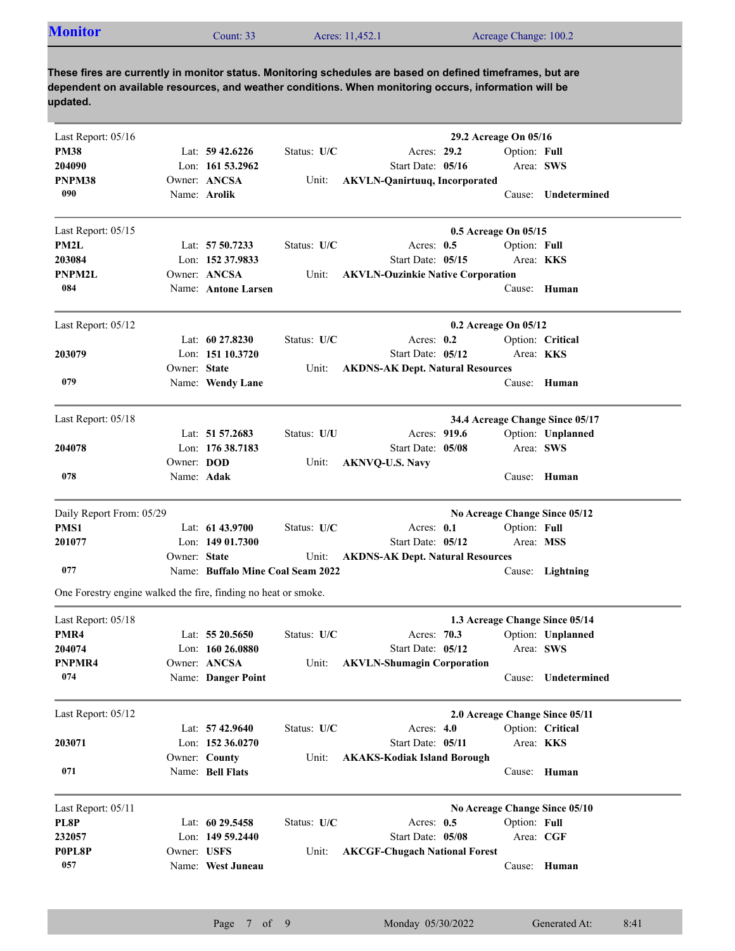| <b>Monitor</b><br>Acreage Change: 100.2<br>Acres: 11,452.1<br>Count: $332$ |
|----------------------------------------------------------------------------|
|----------------------------------------------------------------------------|

| Last Report: 05/16<br><b>PM38</b><br>Lat: $59\,42.6226$<br>Status: U/C<br>Acres: 29.2<br>Option: Full<br>Start Date: 05/16<br>Area: SWS<br>204090<br>Lon: 161 53.2962<br>PNPM38<br>Owner: ANCSA<br><b>AKVLN-Qanirtuuq, Incorporated</b><br>Unit:<br>090<br>Name: Arolik<br>Cause: Undetermined<br>0.5 Acreage On 05/15<br>Last Report: 05/15<br>PM2L<br>Lat: 57 50.7233<br>Status: U/C<br>Option: Full<br>Acres: $0.5$<br>Area: KKS<br>203084<br>Lon: 152 37.9833<br>Start Date: 05/15<br>Owner: ANCSA<br>PNPM2L<br><b>AKVLN-Ouzinkie Native Corporation</b><br>Unit:<br>084<br>Name: Antone Larsen<br>Cause: Human<br>Last Report: 05/12<br>0.2 Acreage On 05/12<br>Status: U/C<br>Lat: $60\,27.8230$<br>Acres: $0.2$<br>Option: Critical<br>Start Date: 05/12<br>203079<br>Lon: 151 10.3720<br>Area: <b>KKS</b><br>Owner: State<br><b>AKDNS-AK Dept. Natural Resources</b><br>Unit:<br>079<br>Cause: Human<br>Name: Wendy Lane |  | 29.2 Acreage On 05/16 |  |
|----------------------------------------------------------------------------------------------------------------------------------------------------------------------------------------------------------------------------------------------------------------------------------------------------------------------------------------------------------------------------------------------------------------------------------------------------------------------------------------------------------------------------------------------------------------------------------------------------------------------------------------------------------------------------------------------------------------------------------------------------------------------------------------------------------------------------------------------------------------------------------------------------------------------------------|--|-----------------------|--|
|                                                                                                                                                                                                                                                                                                                                                                                                                                                                                                                                                                                                                                                                                                                                                                                                                                                                                                                                  |  |                       |  |
|                                                                                                                                                                                                                                                                                                                                                                                                                                                                                                                                                                                                                                                                                                                                                                                                                                                                                                                                  |  |                       |  |
|                                                                                                                                                                                                                                                                                                                                                                                                                                                                                                                                                                                                                                                                                                                                                                                                                                                                                                                                  |  |                       |  |
|                                                                                                                                                                                                                                                                                                                                                                                                                                                                                                                                                                                                                                                                                                                                                                                                                                                                                                                                  |  |                       |  |
|                                                                                                                                                                                                                                                                                                                                                                                                                                                                                                                                                                                                                                                                                                                                                                                                                                                                                                                                  |  |                       |  |
|                                                                                                                                                                                                                                                                                                                                                                                                                                                                                                                                                                                                                                                                                                                                                                                                                                                                                                                                  |  |                       |  |
|                                                                                                                                                                                                                                                                                                                                                                                                                                                                                                                                                                                                                                                                                                                                                                                                                                                                                                                                  |  |                       |  |
|                                                                                                                                                                                                                                                                                                                                                                                                                                                                                                                                                                                                                                                                                                                                                                                                                                                                                                                                  |  |                       |  |
|                                                                                                                                                                                                                                                                                                                                                                                                                                                                                                                                                                                                                                                                                                                                                                                                                                                                                                                                  |  |                       |  |
|                                                                                                                                                                                                                                                                                                                                                                                                                                                                                                                                                                                                                                                                                                                                                                                                                                                                                                                                  |  |                       |  |
|                                                                                                                                                                                                                                                                                                                                                                                                                                                                                                                                                                                                                                                                                                                                                                                                                                                                                                                                  |  |                       |  |
|                                                                                                                                                                                                                                                                                                                                                                                                                                                                                                                                                                                                                                                                                                                                                                                                                                                                                                                                  |  |                       |  |
|                                                                                                                                                                                                                                                                                                                                                                                                                                                                                                                                                                                                                                                                                                                                                                                                                                                                                                                                  |  |                       |  |
|                                                                                                                                                                                                                                                                                                                                                                                                                                                                                                                                                                                                                                                                                                                                                                                                                                                                                                                                  |  |                       |  |
| Last Report: 05/18<br>34.4 Acreage Change Since 05/17                                                                                                                                                                                                                                                                                                                                                                                                                                                                                                                                                                                                                                                                                                                                                                                                                                                                            |  |                       |  |
| Lat: 51 57.2683<br>Acres: 919.6<br>Option: Unplanned<br>Status: U/U                                                                                                                                                                                                                                                                                                                                                                                                                                                                                                                                                                                                                                                                                                                                                                                                                                                              |  |                       |  |
| Lon: 176 38.7183<br>Area: SWS<br>204078<br>Start Date: 05/08                                                                                                                                                                                                                                                                                                                                                                                                                                                                                                                                                                                                                                                                                                                                                                                                                                                                     |  |                       |  |
| Owner: <b>DOD</b><br>Unit:<br><b>AKNVQ-U.S. Navy</b>                                                                                                                                                                                                                                                                                                                                                                                                                                                                                                                                                                                                                                                                                                                                                                                                                                                                             |  |                       |  |
| 078<br>Name: Adak<br>Human<br>Cause:                                                                                                                                                                                                                                                                                                                                                                                                                                                                                                                                                                                                                                                                                                                                                                                                                                                                                             |  |                       |  |
| Daily Report From: 05/29<br>No Acreage Change Since 05/12                                                                                                                                                                                                                                                                                                                                                                                                                                                                                                                                                                                                                                                                                                                                                                                                                                                                        |  |                       |  |
| Lat: 61 43.9700<br>Status: U/C<br>PMS1<br>Acres: 0.1<br>Option: Full                                                                                                                                                                                                                                                                                                                                                                                                                                                                                                                                                                                                                                                                                                                                                                                                                                                             |  |                       |  |
| 201077<br>Lon: $14901.7300$<br>Start Date: 05/12<br>Area: MSS                                                                                                                                                                                                                                                                                                                                                                                                                                                                                                                                                                                                                                                                                                                                                                                                                                                                    |  |                       |  |
| Owner: State<br><b>AKDNS-AK Dept. Natural Resources</b><br>Unit:                                                                                                                                                                                                                                                                                                                                                                                                                                                                                                                                                                                                                                                                                                                                                                                                                                                                 |  |                       |  |
| 077<br>Name: Buffalo Mine Coal Seam 2022<br>Cause: Lightning                                                                                                                                                                                                                                                                                                                                                                                                                                                                                                                                                                                                                                                                                                                                                                                                                                                                     |  |                       |  |
| One Forestry engine walked the fire, finding no heat or smoke.                                                                                                                                                                                                                                                                                                                                                                                                                                                                                                                                                                                                                                                                                                                                                                                                                                                                   |  |                       |  |
| Last Report: 05/18<br>1.3 Acreage Change Since 05/14                                                                                                                                                                                                                                                                                                                                                                                                                                                                                                                                                                                                                                                                                                                                                                                                                                                                             |  |                       |  |
| PMR4<br>Lat: $5520.5650$<br>Status: U/C<br>Acres: 70.3<br>Option: Unplanned                                                                                                                                                                                                                                                                                                                                                                                                                                                                                                                                                                                                                                                                                                                                                                                                                                                      |  |                       |  |
| Area: SWS<br>204074<br>Lon: $160\,26.0880$<br>Start Date: 05/12                                                                                                                                                                                                                                                                                                                                                                                                                                                                                                                                                                                                                                                                                                                                                                                                                                                                  |  |                       |  |
| Unit:<br><b>AKVLN-Shumagin Corporation</b><br>Owner: ANCSA<br>PNPMR4                                                                                                                                                                                                                                                                                                                                                                                                                                                                                                                                                                                                                                                                                                                                                                                                                                                             |  |                       |  |
| 074<br>Name: Danger Point<br>Cause: Undetermined                                                                                                                                                                                                                                                                                                                                                                                                                                                                                                                                                                                                                                                                                                                                                                                                                                                                                 |  |                       |  |
| Last Report: 05/12<br>2.0 Acreage Change Since 05/11                                                                                                                                                                                                                                                                                                                                                                                                                                                                                                                                                                                                                                                                                                                                                                                                                                                                             |  |                       |  |
| Lat: 57 42.9640<br>Option: Critical<br>Status: U/C<br>Acres: 4.0                                                                                                                                                                                                                                                                                                                                                                                                                                                                                                                                                                                                                                                                                                                                                                                                                                                                 |  |                       |  |
| Lon: 152 36.0270<br>Start Date: 05/11<br>Area: KKS<br>203071                                                                                                                                                                                                                                                                                                                                                                                                                                                                                                                                                                                                                                                                                                                                                                                                                                                                     |  |                       |  |
| Owner: County<br><b>AKAKS-Kodiak Island Borough</b><br>Unit:                                                                                                                                                                                                                                                                                                                                                                                                                                                                                                                                                                                                                                                                                                                                                                                                                                                                     |  |                       |  |
| 071<br>Name: Bell Flats<br>Human<br>Cause:                                                                                                                                                                                                                                                                                                                                                                                                                                                                                                                                                                                                                                                                                                                                                                                                                                                                                       |  |                       |  |
| Last Report: 05/11<br>No Acreage Change Since 05/10                                                                                                                                                                                                                                                                                                                                                                                                                                                                                                                                                                                                                                                                                                                                                                                                                                                                              |  |                       |  |
| PL8P<br>Lat: 60 29.5458<br>Status: U/C<br>Acres: 0.5<br>Option: Full                                                                                                                                                                                                                                                                                                                                                                                                                                                                                                                                                                                                                                                                                                                                                                                                                                                             |  |                       |  |
| 232057<br>Start Date: 05/08<br>Lon: $14959.2440$<br>Area: CGF                                                                                                                                                                                                                                                                                                                                                                                                                                                                                                                                                                                                                                                                                                                                                                                                                                                                    |  |                       |  |
| P0PL8P<br>Owner: USFS<br>Unit:<br><b>AKCGF-Chugach National Forest</b>                                                                                                                                                                                                                                                                                                                                                                                                                                                                                                                                                                                                                                                                                                                                                                                                                                                           |  |                       |  |
| 057<br>Name: West Juneau<br>Human<br>Cause:                                                                                                                                                                                                                                                                                                                                                                                                                                                                                                                                                                                                                                                                                                                                                                                                                                                                                      |  |                       |  |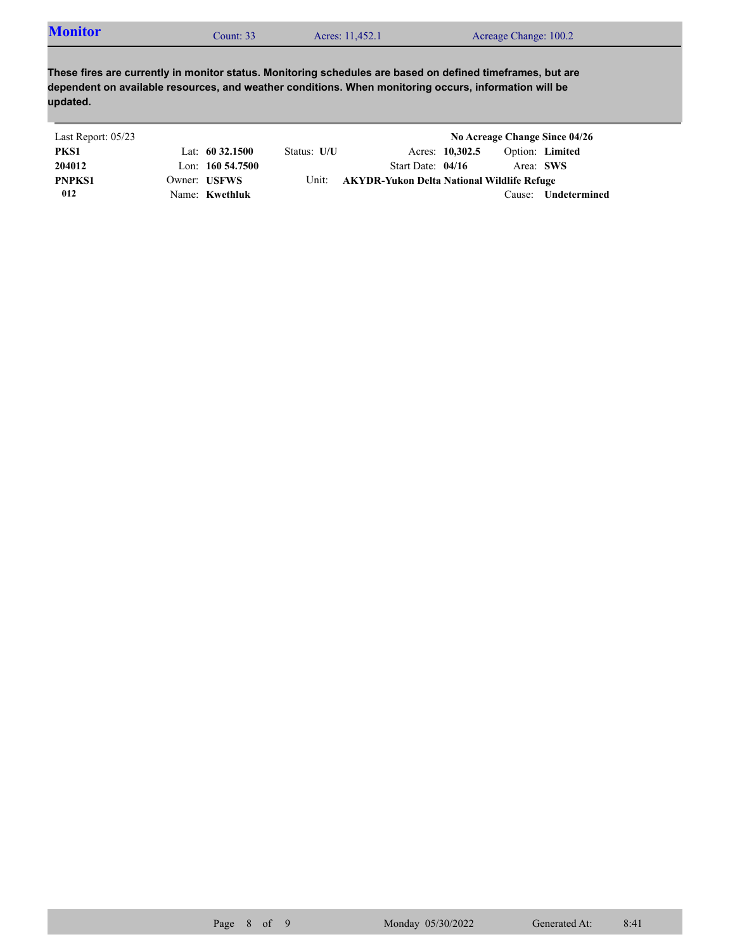| <b>Monitor</b> | $\mathcal$ Count: 33 | Acres: 11,452.1 | Acreage Change: 100.2 |
|----------------|----------------------|-----------------|-----------------------|
|----------------|----------------------|-----------------|-----------------------|

| Last Report: 05/23 |                     |             |                                            |                 |           | No Acreage Change Since 04/26 |
|--------------------|---------------------|-------------|--------------------------------------------|-----------------|-----------|-------------------------------|
| PKS1               | Lat: $60\,32.1500$  | Status: U/U |                                            | Acres: 10,302.5 |           | Option: Limited               |
| 204012             | Lon: $160\,54.7500$ |             | Start Date: $04/16$                        |                 | Area: SWS |                               |
| <b>PNPKS1</b>      | Owner: USFWS        | Unit:       | AKYDR-Yukon Delta National Wildlife Refuge |                 |           |                               |
| 012                | Name: Kwethluk      |             |                                            |                 | Cause:    | Undetermined                  |